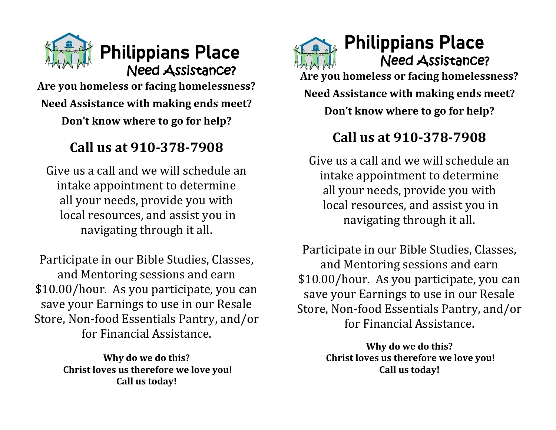

**Are you homeless or facing homelessness? Need Assistance with making ends meet? Don't know where to go for help?** 

## **Call us at 910-378-7908**

Give us a call and we will schedule an intake appointment to determine all your needs, provide you with local resources, and assist you in navigating through it all.

Participate in our Bible Studies, Classes, and Mentoring sessions and earn \$10.00/hour. As you participate, you can save your Earnings to use in our Resale Store, Non-food Essentials Pantry, and/or for Financial Assistance.

> **Why do we do this? Christ loves us therefore we love you! Call us today!**

Philippians Place Need Assistance? **Are you homeless or facing homelessness? Need Assistance with making ends meet? Don't know where to go for help?** 

## **Call us at 910-378-7908**

Give us a call and we will schedule an intake appointment to determine all your needs, provide you with local resources, and assist you in navigating through it all.

Participate in our Bible Studies, Classes, and Mentoring sessions and earn \$10.00/hour. As you participate, you can save your Earnings to use in our Resale Store, Non-food Essentials Pantry, and/or for Financial Assistance.

> **Why do we do this? Christ loves us therefore we love you! Call us today!**